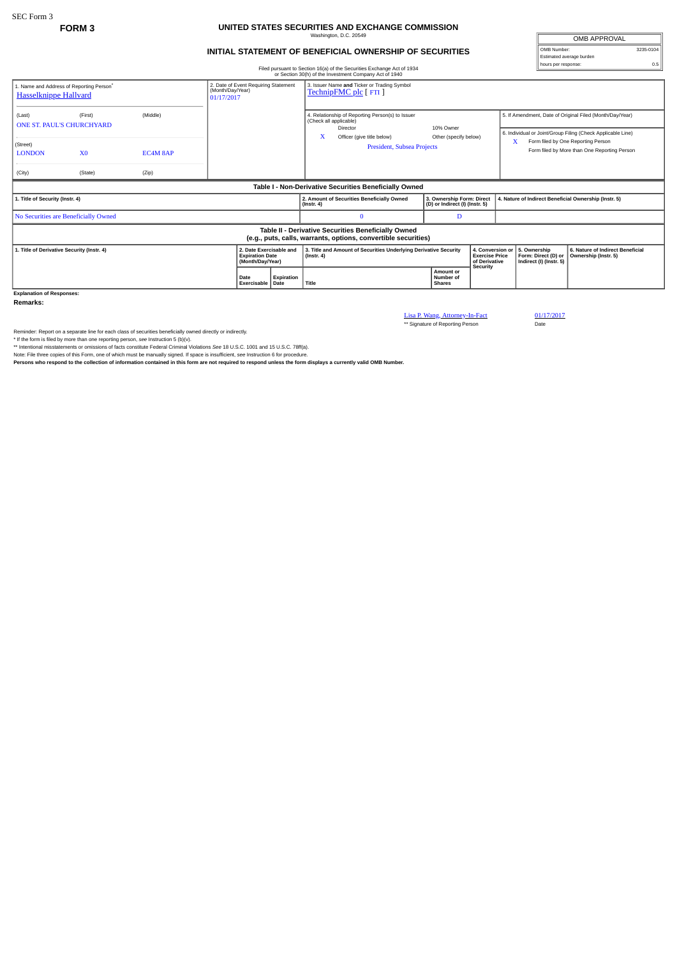## **FORM 3 UNITED STATES SECURITIES AND EXCHANGE COMMISSION** Washington, D.C. 20549

## **INITIAL STATEMENT OF BENEFICIAL OWNERSHIP OF SECURITIES**

OMB APPROVAL OMB Number: 3235-0104 Estimated average burden hours per response: 0.5

|                                                                                                                                                                |                |          | Filed pursuant to Section 16(a) of the Securities Exchange Act of 1934<br>or Section 30(h) of the Investment Company Act of 1940 |                                                                                                  |            |                                                                                                                      | nours per response:<br><b>U.5</b>                              |                                                                         |  |                                                                                    |                                                                                                                         |  |  |
|----------------------------------------------------------------------------------------------------------------------------------------------------------------|----------------|----------|----------------------------------------------------------------------------------------------------------------------------------|--------------------------------------------------------------------------------------------------|------------|----------------------------------------------------------------------------------------------------------------------|----------------------------------------------------------------|-------------------------------------------------------------------------|--|------------------------------------------------------------------------------------|-------------------------------------------------------------------------------------------------------------------------|--|--|
| 2. Date of Event Requiring Statement<br>1. Name and Address of Reporting Person <sup>®</sup><br>(Month/Day/Year)<br><b>Hasselknippe Hallvard</b><br>01/17/2017 |                |          |                                                                                                                                  | 3. Issuer Name and Ticker or Trading Symbol<br>TechnipFMC plc [ FTI ]                            |            |                                                                                                                      |                                                                |                                                                         |  |                                                                                    |                                                                                                                         |  |  |
| (Last)<br><b>ONE ST. PAUL'S CHURCHYARD</b>                                                                                                                     | (First)        | (Middle) |                                                                                                                                  |                                                                                                  |            | 4. Relationship of Reporting Person(s) to Issuer<br>(Check all applicable)<br>Director<br>Officer (give title below) |                                                                | 10% Owner<br>Other (specify below)<br><b>President, Subsea Projects</b> |  |                                                                                    | 5. If Amendment, Date of Original Filed (Month/Day/Year)<br>6. Individual or Joint/Group Filing (Check Applicable Line) |  |  |
| (Street)<br><b>LONDON</b>                                                                                                                                      | X <sub>0</sub> | EC4M 8AP |                                                                                                                                  |                                                                                                  |            | X                                                                                                                    |                                                                |                                                                         |  | Form filed by One Reporting Person<br>Form filed by More than One Reporting Person |                                                                                                                         |  |  |
| (City)                                                                                                                                                         | (State)        | (Zip)    |                                                                                                                                  |                                                                                                  |            |                                                                                                                      |                                                                |                                                                         |  |                                                                                    |                                                                                                                         |  |  |
| Table I - Non-Derivative Securities Beneficially Owned                                                                                                         |                |          |                                                                                                                                  |                                                                                                  |            |                                                                                                                      |                                                                |                                                                         |  |                                                                                    |                                                                                                                         |  |  |
| 1. Title of Security (Instr. 4)                                                                                                                                |                |          |                                                                                                                                  |                                                                                                  |            | $($ Instr. 4 $)$                                                                                                     | 2. Amount of Securities Beneficially Owned                     | 3. Ownership Form: Direct<br>(D) or Indirect (I) (Instr. 5)             |  |                                                                                    | 4. Nature of Indirect Beneficial Ownership (Instr. 5)                                                                   |  |  |
| No Securities are Beneficially Owned                                                                                                                           |                |          |                                                                                                                                  |                                                                                                  |            |                                                                                                                      |                                                                | D                                                                       |  |                                                                                    |                                                                                                                         |  |  |
| Table II - Derivative Securities Beneficially Owned<br>(e.g., puts, calls, warrants, options, convertible securities)                                          |                |          |                                                                                                                                  |                                                                                                  |            |                                                                                                                      |                                                                |                                                                         |  |                                                                                    |                                                                                                                         |  |  |
| 1. Title of Derivative Security (Instr. 4)<br>2. Date Exercisable and<br><b>Expiration Date</b><br>(Month/Day/Year)                                            |                |          |                                                                                                                                  | 3. Title and Amount of Securities Underlying Derivative Security<br>$($ Instr. 4 $)$<br>Security |            | 4. Conversion o<br><b>Exercise Price</b><br>of Derivative                                                            | 5. Ownership<br>Form: Direct (D) or<br>Indirect (I) (Instr. 5) | 6. Nature of Indirect Beneficial<br>Ownership (Instr. 5)                |  |                                                                                    |                                                                                                                         |  |  |
|                                                                                                                                                                |                |          | Date                                                                                                                             | Exercisable   Date                                                                               | Expiration | Title                                                                                                                |                                                                | Amount or<br>Number of<br><b>Shares</b>                                 |  |                                                                                    |                                                                                                                         |  |  |
| <b>Explanation of Responses:</b>                                                                                                                               |                |          |                                                                                                                                  |                                                                                                  |            |                                                                                                                      |                                                                |                                                                         |  |                                                                                    |                                                                                                                         |  |  |

**Remarks:**

Lisa P. Wang, Attorney-In-Fact 01/17/2017<br>\*\* Signature of Reporting Person Date

Reminder: Report on a separate line for each class of securities beneficially owned directly or indirectly.<br>\* If the form is filed by more than one reporting person, see Instruction 5 (b)(v).<br>\* Intentional misstatements or